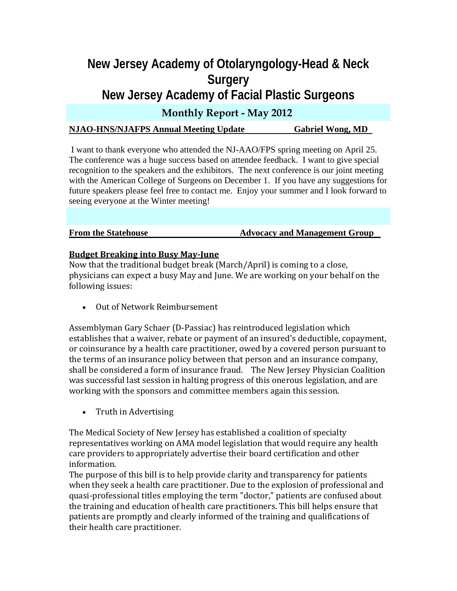# **New Jersey Academy of Otolaryngology-Head & Neck Surgery New Jersey Academy of Facial Plastic Surgeons**

# **Monthly Report - May 2012**

## **NJAO-HNS/NJAFPS Annual Meeting Update Gabriel Wong, MD**

 I want to thank everyone who attended the NJ-AAO/FPS spring meeting on April 25. The conference was a huge success based on attendee feedback. I want to give special recognition to the speakers and the exhibitors. The next conference is our joint meeting with the American College of Surgeons on December 1. If you have any suggestions for future speakers please feel free to contact me. Enjoy your summer and I look forward to seeing everyone at the Winter meeting!

**From the Statehouse The Statehouse Advocacy and Management Group** 

#### **Budget Breaking into Busy MayJune**

Now that the traditional budget break (March/April) is coming to a close, physicians can expect a busy May and June. We are working on your behalf on the following issues:

• Out of Network Reimbursement

Assemblyman Gary Schaer (D‐Passiac) has reintroduced legislation which establishes that a waiver, rebate or payment of an insured's deductible, copayment, or coinsurance by a health care practitioner, owed by a covered person pursuant to the terms of an insurance policy between that person and an insurance company, shall be considered a form of insurance fraud. The New Jersey Physician Coalition was successful last session in halting progress of this onerous legislation, and are working with the sponsors and committee members again this session.

• Truth in Advertising

The Medical Society of New Jersey has established a coalition of specialty representatives working on AMA model legislation that would require any health care providers to appropriately advertise their board certification and other information.

The purpose of this bill is to help provide clarity and transparency for patients when they seek a health care practitioner. Due to the explosion of professional and quasi‐professional titles employing the term "doctor," patients are confused about the training and education of health care practitioners. This bill helps ensure that patients are promptly and clearly informed of the training and qualifications of their health care practitioner.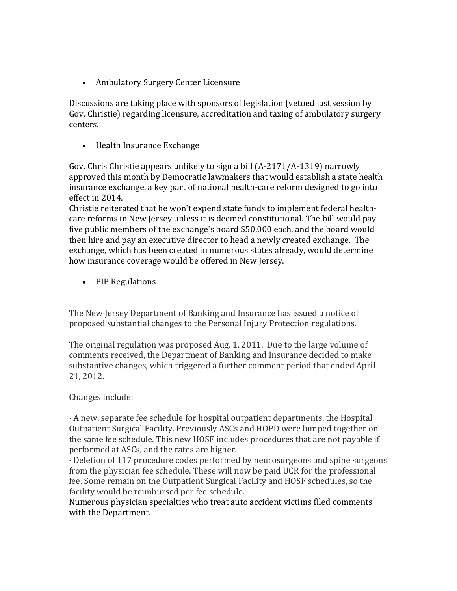• Ambulatory Surgery Center Licensure

Discussions are taking place with sponsors of legislation (vetoed last session by Gov. Christie) regarding licensure, accreditation and taxing of ambulatory surgery centers.

• Health Insurance Exchange

Gov. Chris Christie appears unlikely to sign a bill (A‐2171/A‐1319) narrowly approved this month by Democratic lawmakers that would establish a state health insurance exchange, a key part of national health‐care reform designed to go into effect in 2014.

Christie reiterated that he won't expend state funds to implement federal health‐ care reforms in New Jersey unless it is deemed constitutional. The bill would pay five public members of the exchange's board \$50,000 each, and the board would then hire and pay an executive director to head a newly created exchange. The exchange, which has been created in numerous states already, would determine how insurance coverage would be offered in New Jersey.

• PIP Regulations

The New Jersey Department of Banking and Insurance has issued a notice of proposed substantial changes to the Personal Injury Protection regulations.

The original regulation was proposed Aug. 1, 2011. Due to the large volume of comments received, the Department of Banking and Insurance decided to make substantive changes, which triggered a further comment period that ended April 21, 2012.

### Changes include:

· A new, separate fee schedule for hospital outpatient departments, the Hospital Outpatient Surgical Facility. Previously ASCs and HOPD were lumped together on the same fee schedule. This new HOSF includes procedures that are not payable if performed at ASCs, and the rates are higher.

· Deletion of 117 procedure codes performed by neurosurgeons and spine surgeons from the physician fee schedule. These will now be paid UCR for the professional fee. Some remain on the Outpatient Surgical Facility and HOSF schedules, so the facility would be reimbursed per fee schedule.

Numerous physician specialties who treat auto accident victims filed comments with the Department.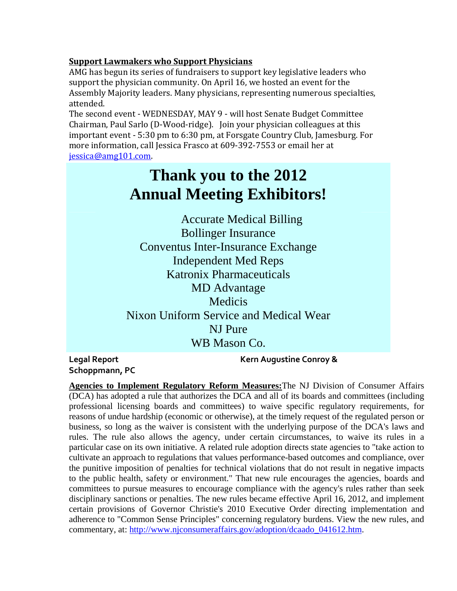## **Support Lawmakers who Support Physicians**

AMG has begun its series of fundraisers to support key legislative leaders who support the physician community. On April 16, we hosted an event for the Assembly Majority leaders. Many physicians, representing numerous specialties, attended.

The second event ‐ WEDNESDAY, MAY 9 ‐ will host Senate Budget Committee Chairman, Paul Sarlo (D‐Wood‐ridge). Join your physician colleagues at this important event ‐ 5:30 pm to 6:30 pm, at Forsgate Country Club, Jamesburg. For more information, call Jessica Frasco at 609‐392‐7553 or email her at jessica@amg101.com.

# **Thank you to the 2012 Annual Meeting Exhibitors!**

Accurate Medical Billing Bollinger Insurance Conventus Inter-Insurance Exchange Independent Med Reps Katronix Pharmaceuticals MD Advantage Medicis Nixon Uniform Service and Medical Wear NJ Pure WB Mason Co.

**Schoppmann, PC**

**Legal Report Kern Augustine Conroy &**

**Agencies to Implement Regulatory Reform Measures:**The NJ Division of Consumer Affairs (DCA) has adopted a rule that authorizes the DCA and all of its boards and committees (including professional licensing boards and committees) to waive specific regulatory requirements, for reasons of undue hardship (economic or otherwise), at the timely request of the regulated person or business, so long as the waiver is consistent with the underlying purpose of the DCA's laws and rules. The rule also allows the agency, under certain circumstances, to waive its rules in a particular case on its own initiative. A related rule adoption directs state agencies to "take action to cultivate an approach to regulations that values performance-based outcomes and compliance, over the punitive imposition of penalties for technical violations that do not result in negative impacts to the public health, safety or environment." That new rule encourages the agencies, boards and committees to pursue measures to encourage compliance with the agency's rules rather than seek disciplinary sanctions or penalties. The new rules became effective April 16, 2012, and implement certain provisions of Governor Christie's 2010 Executive Order directing implementation and adherence to "Common Sense Principles" concerning regulatory burdens. View the new rules, and commentary, at: http://www.njconsumeraffairs.gov/adoption/dcaado\_041612.htm.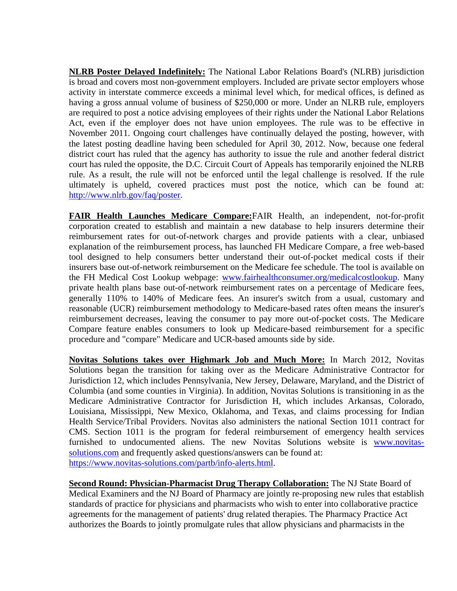**NLRB Poster Delayed Indefinitely:** The National Labor Relations Board's (NLRB) jurisdiction is broad and covers most non-government employers. Included are private sector employers whose activity in interstate commerce exceeds a minimal level which, for medical offices, is defined as having a gross annual volume of business of \$250,000 or more. Under an NLRB rule, employers are required to post a notice advising employees of their rights under the National Labor Relations Act, even if the employer does not have union employees. The rule was to be effective in November 2011. Ongoing court challenges have continually delayed the posting, however, with the latest posting deadline having been scheduled for April 30, 2012. Now, because one federal district court has ruled that the agency has authority to issue the rule and another federal district court has ruled the opposite, the D.C. Circuit Court of Appeals has temporarily enjoined the NLRB rule. As a result, the rule will not be enforced until the legal challenge is resolved. If the rule ultimately is upheld, covered practices must post the notice, which can be found at: http://www.nlrb.gov/faq/poster.

**FAIR Health Launches Medicare Compare:**FAIR Health, an independent, not-for-profit corporation created to establish and maintain a new database to help insurers determine their reimbursement rates for out-of-network charges and provide patients with a clear, unbiased explanation of the reimbursement process, has launched FH Medicare Compare, a free web-based tool designed to help consumers better understand their out-of-pocket medical costs if their insurers base out-of-network reimbursement on the Medicare fee schedule. The tool is available on the FH Medical Cost Lookup webpage: www.fairhealthconsumer.org/medicalcostlookup. Many private health plans base out-of-network reimbursement rates on a percentage of Medicare fees, generally 110% to 140% of Medicare fees. An insurer's switch from a usual, customary and reasonable (UCR) reimbursement methodology to Medicare-based rates often means the insurer's reimbursement decreases, leaving the consumer to pay more out-of-pocket costs. The Medicare Compare feature enables consumers to look up Medicare-based reimbursement for a specific procedure and "compare" Medicare and UCR-based amounts side by side.

**Novitas Solutions takes over Highmark Job and Much More:** In March 2012, Novitas Solutions began the transition for taking over as the Medicare Administrative Contractor for Jurisdiction 12, which includes Pennsylvania, New Jersey, Delaware, Maryland, and the District of Columbia (and some counties in Virginia). In addition, Novitas Solutions is transitioning in as the Medicare Administrative Contractor for Jurisdiction H, which includes Arkansas, Colorado, Louisiana, Mississippi, New Mexico, Oklahoma, and Texas, and claims processing for Indian Health Service/Tribal Providers. Novitas also administers the national Section 1011 contract for CMS. Section 1011 is the program for federal reimbursement of emergency health services furnished to undocumented aliens. The new Novitas Solutions website is www.novitassolutions.com and frequently asked questions/answers can be found at: https://www.novitas-solutions.com/partb/info-alerts.html.

**Second Round: Physician-Pharmacist Drug Therapy Collaboration:** The NJ State Board of Medical Examiners and the NJ Board of Pharmacy are jointly re-proposing new rules that establish standards of practice for physicians and pharmacists who wish to enter into collaborative practice agreements for the management of patients' drug related therapies. The Pharmacy Practice Act authorizes the Boards to jointly promulgate rules that allow physicians and pharmacists in the